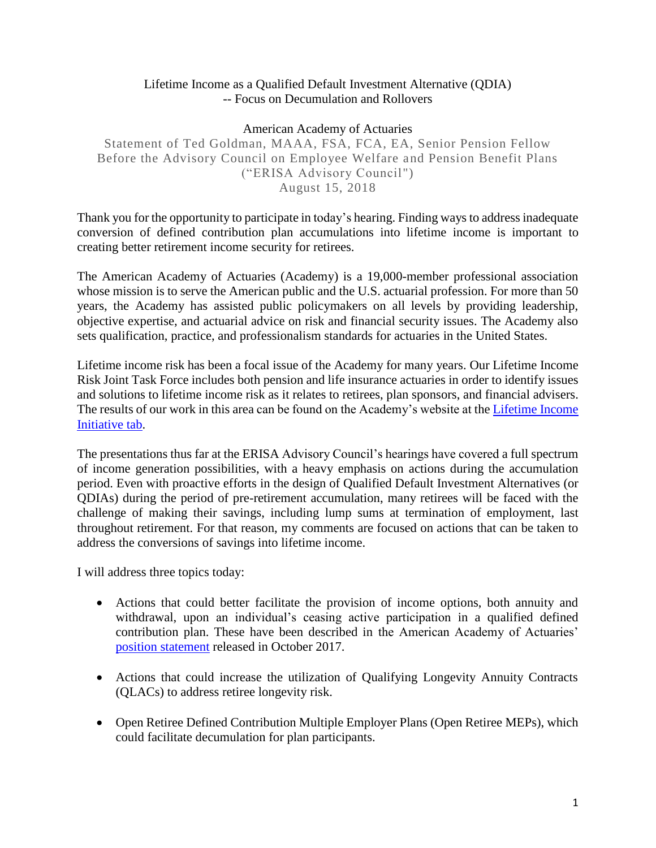### Lifetime Income as a Qualified Default Investment Alternative (QDIA) -- Focus on Decumulation and Rollovers

#### American Academy of Actuaries

Statement of Ted Goldman, MAAA, FSA, FCA, EA, Senior Pension Fellow Before the Advisory Council on Employee Welfare and Pension Benefit Plans ("ERISA Advisory Council") August 15, 2018

Thank you for the opportunity to participate in today's hearing. Finding ways to address inadequate conversion of defined contribution plan accumulations into lifetime income is important to creating better retirement income security for retirees.

The American Academy of Actuaries (Academy) is a 19,000-member professional association whose mission is to serve the American public and the U.S. actuarial profession. For more than 50 years, the Academy has assisted public policymakers on all levels by providing leadership, objective expertise, and actuarial advice on risk and financial security issues. The Academy also sets qualification, practice, and professionalism standards for actuaries in the United States.

Lifetime income risk has been a focal issue of the Academy for many years. Our Lifetime Income Risk Joint Task Force includes both pension and life insurance actuaries in order to identify issues and solutions to lifetime income risk as it relates to retirees, plan sponsors, and financial advisers. The results of our work in this area can be found on the Academy's website at the [Lifetime Income](http://www.actuary.org/content/lifetime-income-initiative)  [Initiative](http://www.actuary.org/content/lifetime-income-initiative) tab.

The presentations thus far at the ERISA Advisory Council's hearings have covered a full spectrum of income generation possibilities, with a heavy emphasis on actions during the accumulation period. Even with proactive efforts in the design of Qualified Default Investment Alternatives (or QDIAs) during the period of pre-retirement accumulation, many retirees will be faced with the challenge of making their savings, including lump sums at termination of employment, last throughout retirement. For that reason, my comments are focused on actions that can be taken to address the conversions of savings into lifetime income.

I will address three topics today:

- Actions that could better facilitate the provision of income options, both annuity and withdrawal, upon an individual's ceasing active participation in a qualified defined contribution plan. These have been described in the American Academy of Actuaries' [position statement](http://www.actuary.org/files/publications/Statement.RetireIncome.10.17.pdf) released in October 2017.
- Actions that could increase the utilization of Qualifying Longevity Annuity Contracts (QLACs) to address retiree longevity risk.
- Open Retiree Defined Contribution Multiple Employer Plans (Open Retiree MEPs), which could facilitate decumulation for plan participants.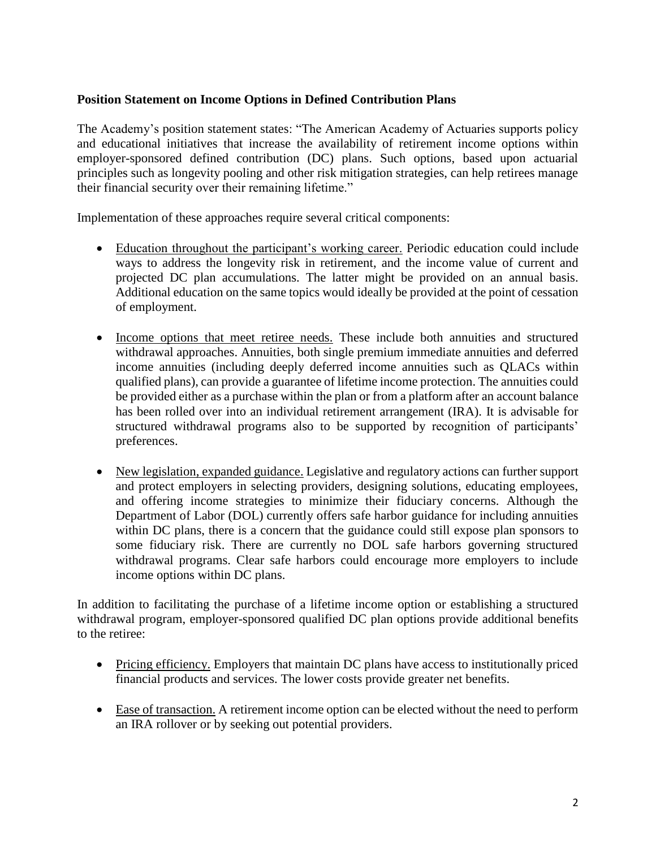### **Position Statement on Income Options in Defined Contribution Plans**

The Academy's position statement states: "The American Academy of Actuaries supports policy and educational initiatives that increase the availability of retirement income options within employer-sponsored defined contribution (DC) plans. Such options, based upon actuarial principles such as longevity pooling and other risk mitigation strategies, can help retirees manage their financial security over their remaining lifetime."

Implementation of these approaches require several critical components:

- Education throughout the participant's working career. Periodic education could include ways to address the longevity risk in retirement, and the income value of current and projected DC plan accumulations. The latter might be provided on an annual basis. Additional education on the same topics would ideally be provided at the point of cessation of employment.
- Income options that meet retiree needs. These include both annuities and structured withdrawal approaches. Annuities, both single premium immediate annuities and deferred income annuities (including deeply deferred income annuities such as QLACs within qualified plans), can provide a guarantee of lifetime income protection. The annuities could be provided either as a purchase within the plan or from a platform after an account balance has been rolled over into an individual retirement arrangement (IRA). It is advisable for structured withdrawal programs also to be supported by recognition of participants' preferences.
- New legislation, expanded guidance. Legislative and regulatory actions can further support and protect employers in selecting providers, designing solutions, educating employees, and offering income strategies to minimize their fiduciary concerns. Although the Department of Labor (DOL) currently offers safe harbor guidance for including annuities within DC plans, there is a concern that the guidance could still expose plan sponsors to some fiduciary risk. There are currently no DOL safe harbors governing structured withdrawal programs. Clear safe harbors could encourage more employers to include income options within DC plans.

In addition to facilitating the purchase of a lifetime income option or establishing a structured withdrawal program, employer-sponsored qualified DC plan options provide additional benefits to the retiree:

- Pricing efficiency. Employers that maintain DC plans have access to institutionally priced financial products and services. The lower costs provide greater net benefits.
- Ease of transaction. A retirement income option can be elected without the need to perform an IRA rollover or by seeking out potential providers.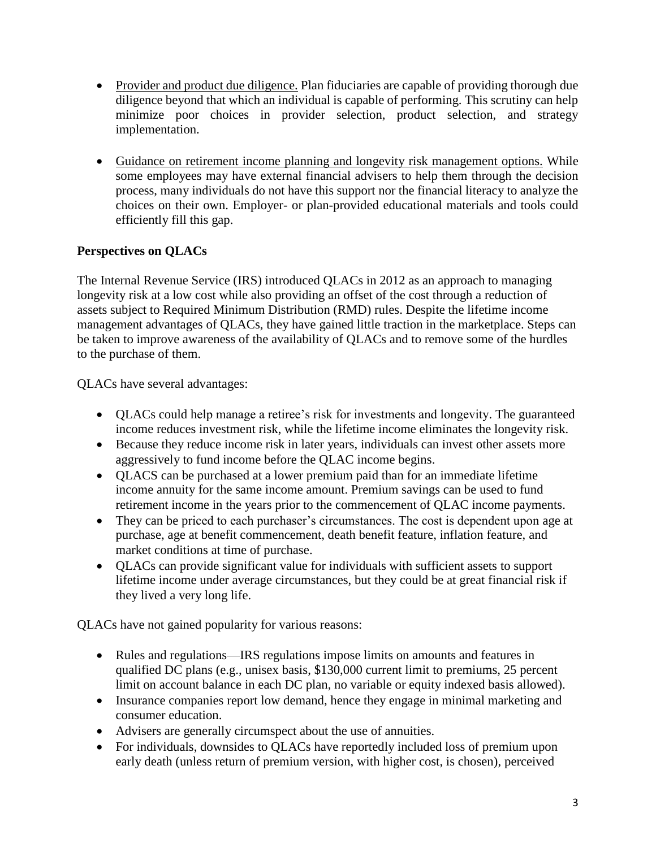- Provider and product due diligence. Plan fiduciaries are capable of providing thorough due diligence beyond that which an individual is capable of performing. This scrutiny can help minimize poor choices in provider selection, product selection, and strategy implementation.
- Guidance on retirement income planning and longevity risk management options. While some employees may have external financial advisers to help them through the decision process, many individuals do not have this support nor the financial literacy to analyze the choices on their own. Employer- or plan-provided educational materials and tools could efficiently fill this gap.

# **Perspectives on QLACs**

The Internal Revenue Service (IRS) introduced QLACs in 2012 as an approach to managing longevity risk at a low cost while also providing an offset of the cost through a reduction of assets subject to Required Minimum Distribution (RMD) rules. Despite the lifetime income management advantages of QLACs, they have gained little traction in the marketplace. Steps can be taken to improve awareness of the availability of QLACs and to remove some of the hurdles to the purchase of them.

QLACs have several advantages:

- QLACs could help manage a retiree's risk for investments and longevity. The guaranteed income reduces investment risk, while the lifetime income eliminates the longevity risk.
- Because they reduce income risk in later years, individuals can invest other assets more aggressively to fund income before the QLAC income begins.
- QLACS can be purchased at a lower premium paid than for an immediate lifetime income annuity for the same income amount. Premium savings can be used to fund retirement income in the years prior to the commencement of QLAC income payments.
- They can be priced to each purchaser's circumstances. The cost is dependent upon age at purchase, age at benefit commencement, death benefit feature, inflation feature, and market conditions at time of purchase.
- QLACs can provide significant value for individuals with sufficient assets to support lifetime income under average circumstances, but they could be at great financial risk if they lived a very long life.

QLACs have not gained popularity for various reasons:

- Rules and regulations—IRS regulations impose limits on amounts and features in qualified DC plans (e.g., unisex basis, \$130,000 current limit to premiums, 25 percent limit on account balance in each DC plan, no variable or equity indexed basis allowed).
- Insurance companies report low demand, hence they engage in minimal marketing and consumer education.
- Advisers are generally circumspect about the use of annuities.
- For individuals, downsides to QLACs have reportedly included loss of premium upon early death (unless return of premium version, with higher cost, is chosen), perceived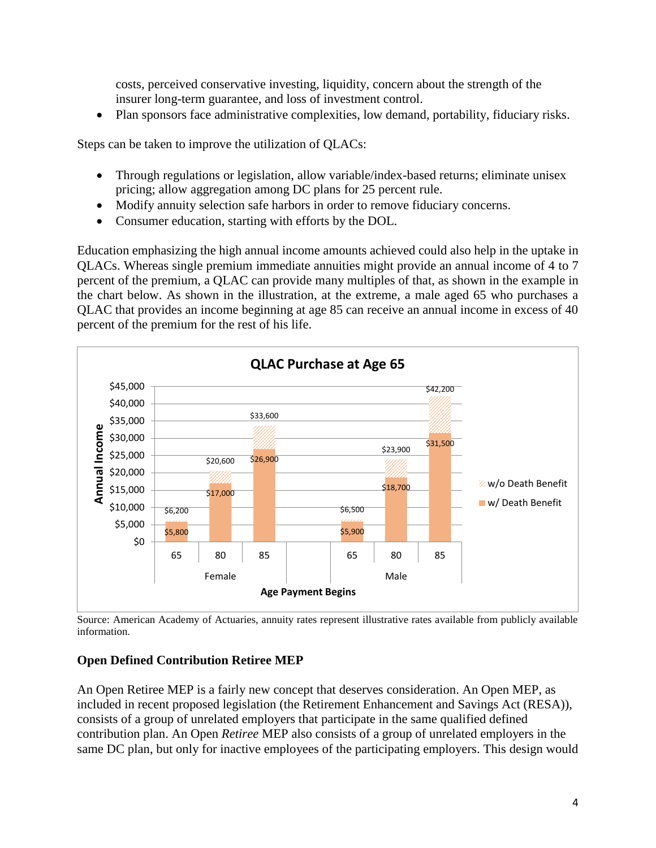costs, perceived conservative investing, liquidity, concern about the strength of the insurer long-term guarantee, and loss of investment control.

Plan sponsors face administrative complexities, low demand, portability, fiduciary risks.

Steps can be taken to improve the utilization of QLACs:

- Through regulations or legislation, allow variable/index-based returns; eliminate unisex pricing; allow aggregation among DC plans for 25 percent rule.
- Modify annuity selection safe harbors in order to remove fiduciary concerns.
- Consumer education, starting with efforts by the DOL.

Education emphasizing the high annual income amounts achieved could also help in the uptake in QLACs. Whereas single premium immediate annuities might provide an annual income of 4 to 7 percent of the premium, a QLAC can provide many multiples of that, as shown in the example in the chart below. As shown in the illustration, at the extreme, a male aged 65 who purchases a QLAC that provides an income beginning at age 85 can receive an annual income in excess of 40 percent of the premium for the rest of his life.



Source: American Academy of Actuaries, annuity rates represent illustrative rates available from publicly available information.

#### **Open Defined Contribution Retiree MEP**

An Open Retiree MEP is a fairly new concept that deserves consideration. An Open MEP, as included in recent proposed legislation (the Retirement Enhancement and Savings Act (RESA)), consists of a group of unrelated employers that participate in the same qualified defined contribution plan. An Open *Retiree* MEP also consists of a group of unrelated employers in the same DC plan, but only for inactive employees of the participating employers. This design would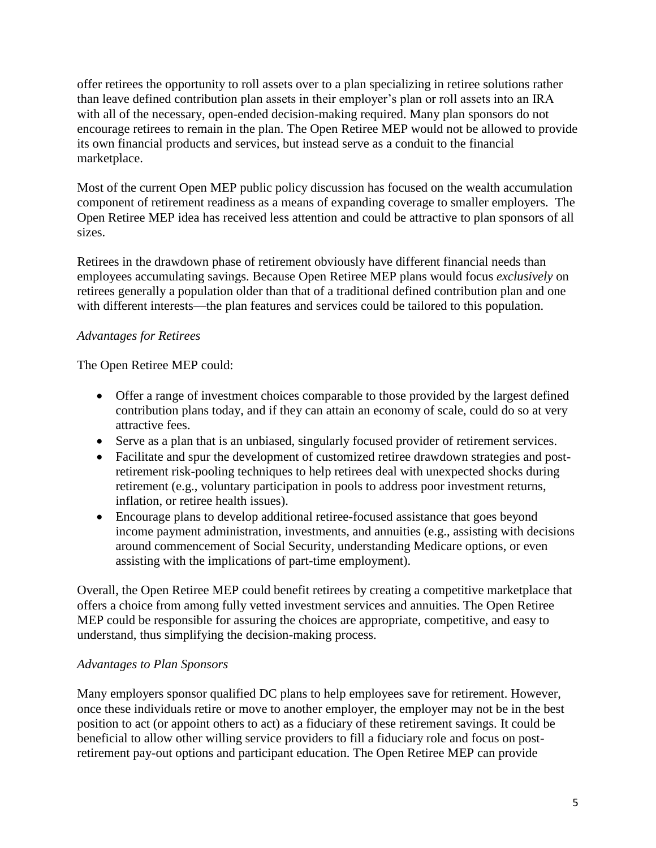offer retirees the opportunity to roll assets over to a plan specializing in retiree solutions rather than leave defined contribution plan assets in their employer's plan or roll assets into an IRA with all of the necessary, open-ended decision-making required. Many plan sponsors do not encourage retirees to remain in the plan. The Open Retiree MEP would not be allowed to provide its own financial products and services, but instead serve as a conduit to the financial marketplace.

Most of the current Open MEP public policy discussion has focused on the wealth accumulation component of retirement readiness as a means of expanding coverage to smaller employers. The Open Retiree MEP idea has received less attention and could be attractive to plan sponsors of all sizes.

Retirees in the drawdown phase of retirement obviously have different financial needs than employees accumulating savings. Because Open Retiree MEP plans would focus *exclusively* on retirees generally a population older than that of a traditional defined contribution plan and one with different interests—the plan features and services could be tailored to this population.

# *Advantages for Retirees*

The Open Retiree MEP could:

- Offer a range of investment choices comparable to those provided by the largest defined contribution plans today, and if they can attain an economy of scale, could do so at very attractive fees.
- Serve as a plan that is an unbiased, singularly focused provider of retirement services.
- Facilitate and spur the development of customized retiree drawdown strategies and postretirement risk-pooling techniques to help retirees deal with unexpected shocks during retirement (e.g., voluntary participation in pools to address poor investment returns, inflation, or retiree health issues).
- Encourage plans to develop additional retiree-focused assistance that goes beyond income payment administration, investments, and annuities (e.g., assisting with decisions around commencement of Social Security, understanding Medicare options, or even assisting with the implications of part-time employment).

Overall, the Open Retiree MEP could benefit retirees by creating a competitive marketplace that offers a choice from among fully vetted investment services and annuities. The Open Retiree MEP could be responsible for assuring the choices are appropriate, competitive, and easy to understand, thus simplifying the decision-making process.

## *Advantages to Plan Sponsors*

Many employers sponsor qualified DC plans to help employees save for retirement. However, once these individuals retire or move to another employer, the employer may not be in the best position to act (or appoint others to act) as a fiduciary of these retirement savings. It could be beneficial to allow other willing service providers to fill a fiduciary role and focus on postretirement pay-out options and participant education. The Open Retiree MEP can provide